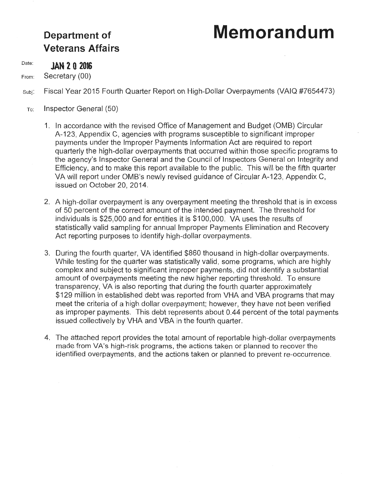# **Department of Memorandum**

# **Veterans Affairs**

Date: **JAN 2 0 2016** 

From: Secretary (00)

Subj: Fiscal Year 2015 Fourth Quarter Report on High-Dollar Overpayments (VAIQ #7654473)

- To: Inspector General (50)
	- 1. In accordance with the revised Office of Management and Budget (OMB) Circular A-123, Appendix C, agencies with programs susceptible to significant improper payments under the Improper Payments Information Act are required to report quarterly the high-dollar overpayments that occurred within those specific programs to the agency's Inspector General and the Council of Inspectors General on Integrity and Efficiency, and to make this report available to the public. This will be the fifth quarter VA will report under OMB's newly revised guidance of Circular A-123, Appendix C, issued on October 20, 2014.
	- 2. A high-dollar overpayment is any overpayment meeting the threshold that is in excess of 50 percent of the correct amount of the intended payment. The threshold for individuals is \$25,000 and for entities it is \$100,000. VA uses the results of statistically valid sampling for annual Improper Payments Elimination and Recovery Act reporting purposes to identify high-dollar overpayments.
	- 3. During the fourth quarter, VA identified \$860 thousand in high-dollar overpayments. While testing for the quarter was statistically valid, some programs, which are highly complex and subject to significant improper payments, did not identify a substantial amount of overpayments meeting the new higher reporting threshold. To ensure transparency, VA is also reporting that during the fourth quarter approximately \$129 million in established debt was reported from VHA and VBA programs that may meet the criteria of a high dollar overpayment; however, they have not been verified as improper payments. This debt represents about 0.44 percent of the total payments issued collectively by VHA and VBA in the fourth quarter.
	- 4. The attached report provides the total amount of reportable high-dollar overpayments made from VA's high-risk programs, the actions taken or planned to recover the identified overpayments, and the actions taken or planned to prevent re-occurrence.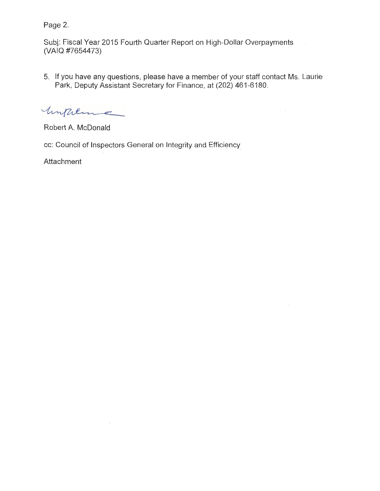Page 2.

Subj: Fiscal Year 2015 Fourth Quarter Report on High-Dollar Overpayments (VAIQ #7654473)

5. If you have any questions, please have a member of your staff contact Ms. Laurie Park, Deputy Assistant Secretary for Finance, at (202) 461-6180.

Impleme

Robert A. McDonald

cc: Council of Inspectors General on Integrity and Efficiency

**Attachment**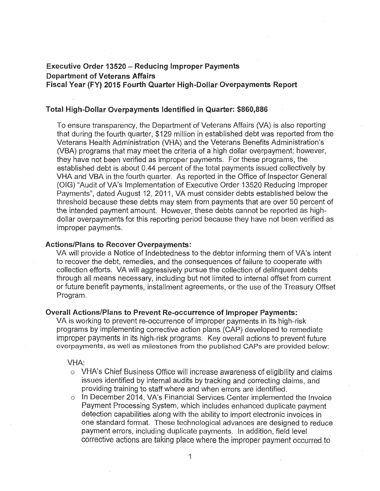# **Executive Order 13520 - Reducing Improper Payments Department of Veterans Affairs Fiscal Year (FY) 2015 Fourth Quarter High-Dollar Overpayments Report**

# **Total High-Dollar Overpayments Identified in Quarter: \$860,886**

To ensure transparency, the Department of Veterans Affairs (VA) is also reporting that during the fourth quarter, \$129 million in established debt was reported from the Veterans Health Administration (VHA) and the Veterans Benefits Administration's (VBA) programs that may meet the criteria of a high dollar overpayment; however, they have not been verified as improper payments. For these programs, the established debt is about 0.44 percent of the total payments issued collectively by VHA and VBA in the fourth quarter. As reported in the Office of Inspector General (OIG) "Audit of VA's Implementation of Executive Order 13520 Reducing Improper Payments", dated August 12, 2011, VA must consider debts established below the threshold because these debts may stem from payments that are over 50 percent of the intended payment amount. However, these debts cannot be reported as highdollar overpayments for this reporting period because they have not been verified as improper payments.

#### **Actions/Plans to Recover Overpayments:**

VA will provide a Notice of Indebtedness to the debtor informing them of VA's intent to recover the debt, remedies, and the consequences of failure to cooperate with collection efforts. VA will aggressively pursue the collection of delinquent debts through all means necessary, including but not limited to internal offset from current or future benefit payments, installment agreements, or the use of the Treasury Offset Program.

### **Overall Actions/Plans to Prevent Re-occurrence of Improper Payments:**

VA is working to prevent re-occurrence of improper payments in its high-risk programs by implementing corrective action plans (CAP) developed to remediate improper payments in its high-risk programs. Key overall actions to prevent future overpayments, as well as milestones from the published CAPs are provided below:

#### VHA:

- o VHA's Chief Business Office will increase awareness of eligibility and claims issues identified by internal audits by tracking and correcting claims, and providing training to staff where and when errors are identified.
- o In December 2014, VA's Financial Services Center implemented the Invoice Payment Processing System, which includes enhanced duplicate payment detection capabilities along with the ability to import electronic invoices in one standard format. These technological advances are designed to reduce payment errors, including duplicate payments. In addition, field level corrective actions are taking place where the improper payment occurred to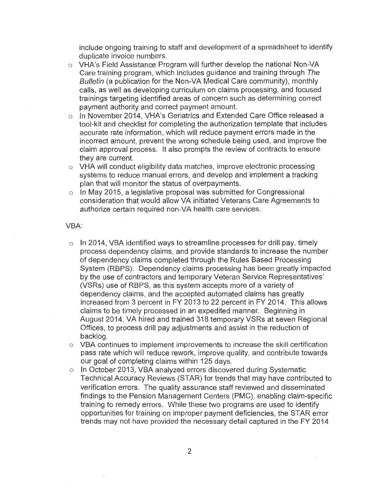include ongoing training to staff and development of a spreadsheet to identify duplicate invoice numbers.

- $\circ$  VHA's Field Assistance Program will further develop the national Non-VA Care training program, which includes guidance and training through The Bulletin (a publication for the Non-VA Medical Care community), monthly calls, as well as developing curriculum on claims processing, and focused trainings targeting identified areas of concern such as determining correct payment authority and correct payment amount.
- o In November 2014, VHA's Geriatrics and Extended Care Office released a tool-kit and checklist for completing the authorization template that includes accurate rate information, which will reduce payment errors made in the incorrect amount, prevent the wrong schedule being used, and improve the claim approval process. It also prompts the review of contracts to ensure they are current.
- $\circ$   $\,$  VHA will conduct eligibility data matches, improve electronic processing  $\,$ systems to reduce manual errors, and develop and implement a tracking plan that will monitor the status of overpayments.
- $\circ$  In May 2015, a legislative proposal was submitted for Congressional consideration that would allow VA initiated Veterans Care Agreements to authorize certain required non-VA health care services.

## VBA:

- $\circ$  In 2014, VBA identified ways to streamline processes for drill pay, timely process dependency claims, and provide standards to increase the number of dependency claims completed through the Rules Based Processing System (RBPS). Dependency claims processing has been greatly impacted by the use of contractors and temporary Veteran Service Representatives' (VSRs) use of RBPS, as this system accepts more of a variety of dependency claims, and the accepted automated claims has greatly increased from 3 percent in FY 2013 to 22 percent in FY 2014. This allows claims to be timely processed in an expedited manner. Beginning in August 2014, VA hired and trained 318 temporary VSRs at seven Regional Offices, to process drill pay adjustments and assist in the reduction of backlog.
- $\circ$  VBA continues to implement improvements to increase the skill certification pass rate which will reduce rework, improve quality, and contribute towards our goal of completing claims within 125 days.
- $\circ$  In October 2013, VBA analyzed errors discovered during Systematic Technical Accuracy Reviews (STAR) for trends that may have contributed to verification errors. The quality assurance staff reviewed and disseminated findings to the Pension Management Centers (PMC), enabling claim-specific training to remedy errors. While these two programs are used to identify opportunities for training on improper payment deficiencies, the STAR error trends may not have provided the necessary detail captured in the FY 2014